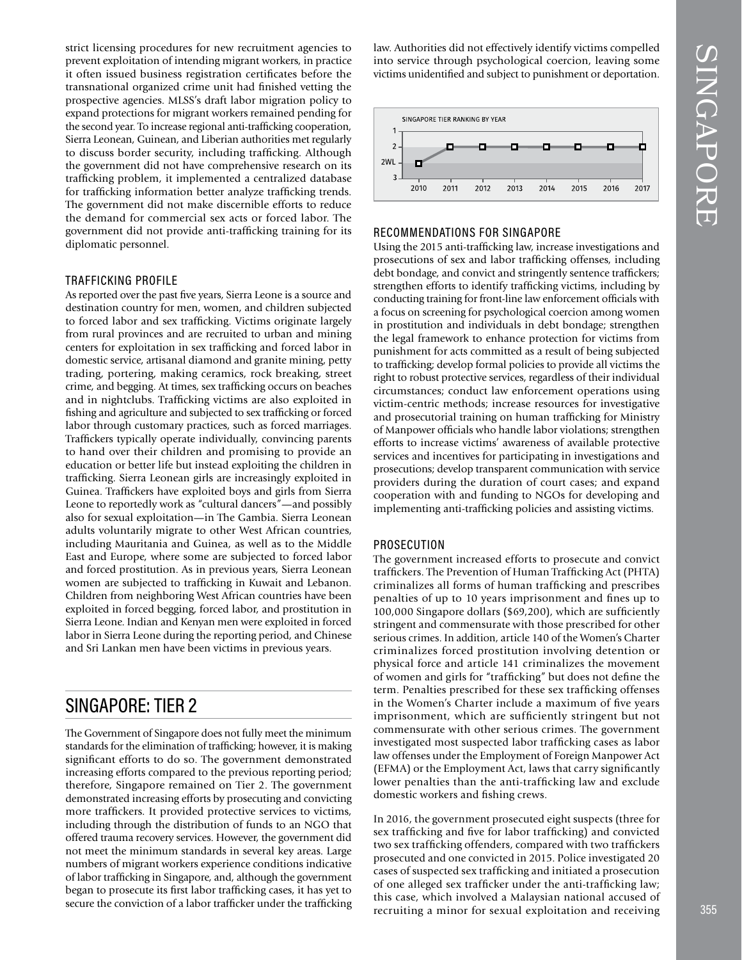strict licensing procedures for new recruitment agencies to prevent exploitation of intending migrant workers, in practice it often issued business registration certifcates before the transnational organized crime unit had fnished vetting the prospective agencies. MLSS's draft labor migration policy to expand protections for migrant workers remained pending for the second year. To increase regional anti-trafficking cooperation, Sierra Leonean, Guinean, and Liberian authorities met regularly to discuss border security, including traffcking. Although the government did not have comprehensive research on its traffcking problem, it implemented a centralized database for traffcking information better analyze traffcking trends. The government did not make discernible efforts to reduce the demand for commercial sex acts or forced labor. The government did not provide anti-traffcking training for its diplomatic personnel.

#### TRAFFICKING PROFILE

As reported over the past fve years, Sierra Leone is a source and destination country for men, women, and children subjected to forced labor and sex traffcking. Victims originate largely from rural provinces and are recruited to urban and mining centers for exploitation in sex traffcking and forced labor in domestic service, artisanal diamond and granite mining, petty trading, portering, making ceramics, rock breaking, street crime, and begging. At times, sex traffcking occurs on beaches and in nightclubs. Traffcking victims are also exploited in fshing and agriculture and subjected to sex traffcking or forced labor through customary practices, such as forced marriages. Traffckers typically operate individually, convincing parents to hand over their children and promising to provide an education or better life but instead exploiting the children in traffcking. Sierra Leonean girls are increasingly exploited in Guinea. Traffickers have exploited boys and girls from Sierra Leone to reportedly work as "cultural dancers"—and possibly also for sexual exploitation—in The Gambia. Sierra Leonean adults voluntarily migrate to other West African countries, including Mauritania and Guinea, as well as to the Middle East and Europe, where some are subjected to forced labor and forced prostitution. As in previous years, Sierra Leonean women are subjected to traffcking in Kuwait and Lebanon. Children from neighboring West African countries have been exploited in forced begging, forced labor, and prostitution in Sierra Leone. Indian and Kenyan men were exploited in forced labor in Sierra Leone during the reporting period, and Chinese and Sri Lankan men have been victims in previous years.

# SINGAPORE: TIER 2

The Government of Singapore does not fully meet the minimum standards for the elimination of traffcking; however, it is making signifcant efforts to do so. The government demonstrated increasing efforts compared to the previous reporting period; therefore, Singapore remained on Tier 2. The government demonstrated increasing efforts by prosecuting and convicting more traffckers. It provided protective services to victims, including through the distribution of funds to an NGO that offered trauma recovery services. However, the government did not meet the minimum standards in several key areas. Large numbers of migrant workers experience conditions indicative of labor traffcking in Singapore, and, although the government began to prosecute its frst labor traffcking cases, it has yet to secure the conviction of a labor trafficker under the trafficking law. Authorities did not effectively identify victims compelled into service through psychological coercion, leaving some victims unidentifed and subject to punishment or deportation.



#### RECOMMENDATIONS FOR SINGAPORE

Using the 2015 anti-traffcking law, increase investigations and prosecutions of sex and labor traffcking offenses, including debt bondage, and convict and stringently sentence traffickers; strengthen efforts to identify traffcking victims, including by conducting training for front-line law enforcement officials with a focus on screening for psychological coercion among women in prostitution and individuals in debt bondage; strengthen the legal framework to enhance protection for victims from punishment for acts committed as a result of being subjected to traffcking; develop formal policies to provide all victims the right to robust protective services, regardless of their individual circumstances; conduct law enforcement operations using victim-centric methods; increase resources for investigative and prosecutorial training on human traffcking for Ministry of Manpower offcials who handle labor violations; strengthen efforts to increase victims' awareness of available protective services and incentives for participating in investigations and prosecutions; develop transparent communication with service providers during the duration of court cases; and expand cooperation with and funding to NGOs for developing and implementing anti-traffcking policies and assisting victims.

#### PROSECUTION

The government increased efforts to prosecute and convict traffckers. The Prevention of Human Traffcking Act (PHTA) criminalizes all forms of human traffcking and prescribes penalties of up to 10 years imprisonment and fnes up to 100,000 Singapore dollars (\$69,200), which are suffciently stringent and commensurate with those prescribed for other serious crimes. In addition, article 140 of the Women's Charter criminalizes forced prostitution involving detention or physical force and article 141 criminalizes the movement of women and girls for "traffcking" but does not defne the term. Penalties prescribed for these sex traffcking offenses in the Women's Charter include a maximum of fve years imprisonment, which are suffciently stringent but not commensurate with other serious crimes. The government investigated most suspected labor traffcking cases as labor law offenses under the Employment of Foreign Manpower Act (EFMA) or the Employment Act, laws that carry signifcantly lower penalties than the anti-trafficking law and exclude domestic workers and fshing crews.

In 2016, the government prosecuted eight suspects (three for sex traffcking and fve for labor traffcking) and convicted two sex traffcking offenders, compared with two traffckers prosecuted and one convicted in 2015. Police investigated 20 cases of suspected sex traffcking and initiated a prosecution of one alleged sex traffcker under the anti-traffcking law; this case, which involved a Malaysian national accused of recruiting a minor for sexual exploitation and receiving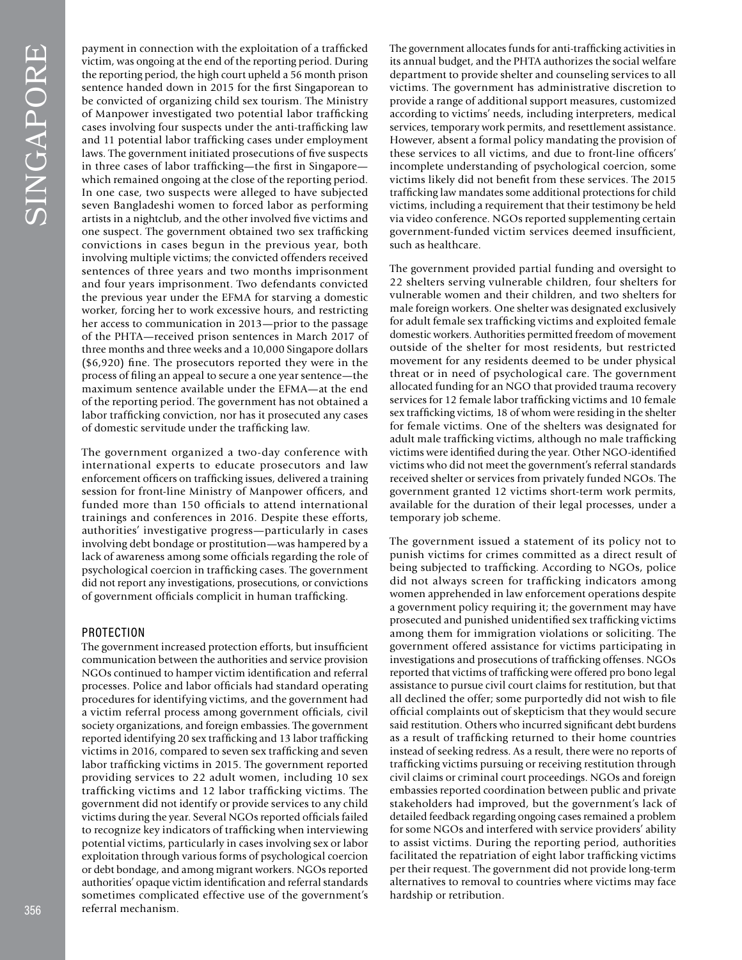payment in connection with the exploitation of a traffcked victim, was ongoing at the end of the reporting period. During the reporting period, the high court upheld a 56 month prison sentence handed down in 2015 for the frst Singaporean to be convicted of organizing child sex tourism. The Ministry of Manpower investigated two potential labor traffcking cases involving four suspects under the anti-traffcking law and 11 potential labor traffcking cases under employment laws. The government initiated prosecutions of fve suspects in three cases of labor traffcking—the frst in Singapore which remained ongoing at the close of the reporting period. In one case, two suspects were alleged to have subjected seven Bangladeshi women to forced labor as performing artists in a nightclub, and the other involved fve victims and one suspect. The government obtained two sex traffcking convictions in cases begun in the previous year, both involving multiple victims; the convicted offenders received sentences of three years and two months imprisonment and four years imprisonment. Two defendants convicted the previous year under the EFMA for starving a domestic worker, forcing her to work excessive hours, and restricting her access to communication in 2013—prior to the passage of the PHTA—received prison sentences in March 2017 of three months and three weeks and a 10,000 Singapore dollars (\$6,920) fne. The prosecutors reported they were in the process of fling an appeal to secure a one year sentence—the maximum sentence available under the EFMA—at the end of the reporting period. The government has not obtained a labor traffcking conviction, nor has it prosecuted any cases of domestic servitude under the traffcking law.

The government organized a two-day conference with international experts to educate prosecutors and law enforcement offcers on traffcking issues, delivered a training session for front-line Ministry of Manpower officers, and funded more than 150 offcials to attend international trainings and conferences in 2016. Despite these efforts, authorities' investigative progress—particularly in cases involving debt bondage or prostitution—was hampered by a lack of awareness among some officials regarding the role of psychological coercion in traffcking cases. The government did not report any investigations, prosecutions, or convictions of government offcials complicit in human traffcking.

### PROTECTION

The government increased protection efforts, but insuffcient communication between the authorities and service provision NGOs continued to hamper victim identifcation and referral processes. Police and labor offcials had standard operating procedures for identifying victims, and the government had a victim referral process among government offcials, civil society organizations, and foreign embassies. The government reported identifying 20 sex traffcking and 13 labor traffcking victims in 2016, compared to seven sex traffcking and seven labor traffcking victims in 2015. The government reported providing services to 22 adult women, including 10 sex traffcking victims and 12 labor traffcking victims. The government did not identify or provide services to any child victims during the year. Several NGOs reported offcials failed to recognize key indicators of traffcking when interviewing potential victims, particularly in cases involving sex or labor exploitation through various forms of psychological coercion or debt bondage, and among migrant workers. NGOs reported authorities' opaque victim identifcation and referral standards sometimes complicated effective use of the government's referral mechanism.

The government allocates funds for anti-traffcking activities in its annual budget, and the PHTA authorizes the social welfare department to provide shelter and counseling services to all victims. The government has administrative discretion to provide a range of additional support measures, customized according to victims' needs, including interpreters, medical services, temporary work permits, and resettlement assistance. However, absent a formal policy mandating the provision of these services to all victims, and due to front-line officers' incomplete understanding of psychological coercion, some victims likely did not beneft from these services. The 2015 traffcking law mandates some additional protections for child victims, including a requirement that their testimony be held via video conference. NGOs reported supplementing certain government-funded victim services deemed insuffcient, such as healthcare.

The government provided partial funding and oversight to 22 shelters serving vulnerable children, four shelters for vulnerable women and their children, and two shelters for male foreign workers. One shelter was designated exclusively for adult female sex traffcking victims and exploited female domestic workers. Authorities permitted freedom of movement outside of the shelter for most residents, but restricted movement for any residents deemed to be under physical threat or in need of psychological care. The government allocated funding for an NGO that provided trauma recovery services for 12 female labor traffcking victims and 10 female sex traffcking victims, 18 of whom were residing in the shelter for female victims. One of the shelters was designated for adult male traffcking victims, although no male traffcking victims were identifed during the year. Other NGO-identifed victims who did not meet the government's referral standards received shelter or services from privately funded NGOs. The government granted 12 victims short-term work permits, available for the duration of their legal processes, under a temporary job scheme.

The government issued a statement of its policy not to punish victims for crimes committed as a direct result of being subjected to traffcking. According to NGOs, police did not always screen for traffcking indicators among women apprehended in law enforcement operations despite a government policy requiring it; the government may have prosecuted and punished unidentifed sex traffcking victims among them for immigration violations or soliciting. The government offered assistance for victims participating in investigations and prosecutions of traffcking offenses. NGOs reported that victims of traffcking were offered pro bono legal assistance to pursue civil court claims for restitution, but that all declined the offer; some purportedly did not wish to fle offcial complaints out of skepticism that they would secure said restitution. Others who incurred signifcant debt burdens as a result of traffcking returned to their home countries instead of seeking redress. As a result, there were no reports of traffcking victims pursuing or receiving restitution through civil claims or criminal court proceedings. NGOs and foreign embassies reported coordination between public and private stakeholders had improved, but the government's lack of detailed feedback regarding ongoing cases remained a problem for some NGOs and interfered with service providers' ability to assist victims. During the reporting period, authorities facilitated the repatriation of eight labor traffcking victims per their request. The government did not provide long-term alternatives to removal to countries where victims may face hardship or retribution.